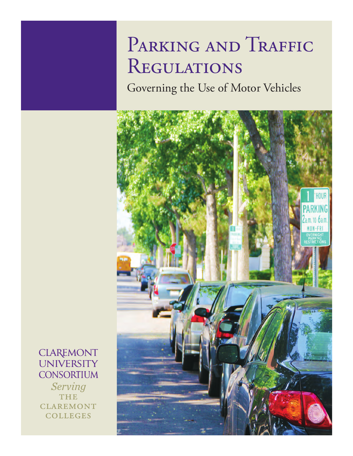# PARKING AND TRAFFIC **REGULATIONS**

Governing the Use of Motor Vehicles



**CLAREMONT UNIVERSITY CONSORTIUM** 

Serving **THE CLAREMONT COLLEGES**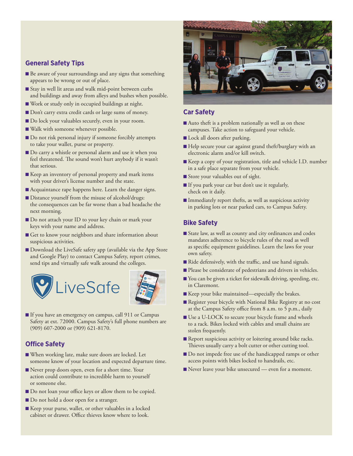#### **General Safety Tips**

- Be aware of your surroundings and any signs that something appears to be wrong or out of place.
- Stay in well lit areas and walk mid-point between curbs and buildings and away from alleys and bushes when possible.
- Work or study only in occupied buildings at night.
- Don't carry extra credit cards or large sums of money.
- Do lock your valuables securely, even in your room.
- Walk with someone whenever possible.
- Do not risk personal injury if someone forcibly attempts to take your wallet, purse or property.
- Do carry a whistle or personal alarm and use it when you feel threatened. The sound won't hurt anybody if it wasn't that serious.
- Keep an inventory of personal property and mark items with your driver's license number and the state.
- Acquaintance rape happens here. Learn the danger signs.
- Distance yourself from the misuse of alcohol/drugs: the consequences can be far worse than a bad headache the next morning.
- Do not attach your ID to your key chain or mark your keys with your name and address.
- Get to know your neighbors and share information about suspicious activities.
- Download the LiveSafe safety app (available via the App Store and Google Play) to contact Campus Safety, report crimes, send tips and virtually safe walk around the colleges.





■ If you have an emergency on campus, call 911 or Campus Safety at ext. 72000. Campus Safety's full phone numbers are (909) 607-2000 or (909) 621-8170.

# **Office Safety**

- When working late, make sure doors are locked. Let someone know of your location and expected departure time.
- Never prop doors open, even for a short time. Your action could contribute to incredible harm to yourself or someone else.
- Do not loan your office keys or allow them to be copied.
- **Do** not hold a door open for a stranger.
- Keep your purse, wallet, or other valuables in a locked cabinet or drawer. Office thieves know where to look.



# **Car Safety**

- Auto theft is a problem nationally as well as on these campuses. Take action to safeguard your vehicle.
- Lock all doors after parking.
- Help secure your car against grand theft/burglary with an electronic alarm and/or kill switch.
- Keep a copy of your registration, title and vehicle I.D. number in a safe place separate from your vehicle.
- Store your valuables out of sight.
- If you park your car but don't use it regularly, check on it daily.
- Immediately report thefts, as well as suspicious activity in parking lots or near parked cars, to Campus Safety.

# **Bike Safety**

- State law, as well as county and city ordinances and codes mandates adherence to bicycle rules of the road as well as specific equipment guidelines. Learn the laws for your own safety.
- Ride defensively, with the traffic, and use hand signals.
- Please be considerate of pedestrians and drivers in vehicles.
- You can be given a ticket for sidewalk driving, speeding, etc. in Claremont.
- Keep your bike maintained—especially the brakes.
- Register your bicycle with National Bike Registry at no cost at the Campus Safety office from 8 a.m. to 5 p.m., daily
- Use a U-LOCK to secure your bicycle frame and wheels to a rack. Bikes locked with cables and small chains are stolen frequently.
- Report suspicious activity or loitering around bike racks. Thieves usually carry a bolt cutter or other cutting tool.
- Do not impede free use of the handicapped ramps or other access points with bikes locked to handrails, etc.
- Never leave your bike unsecured even for a moment.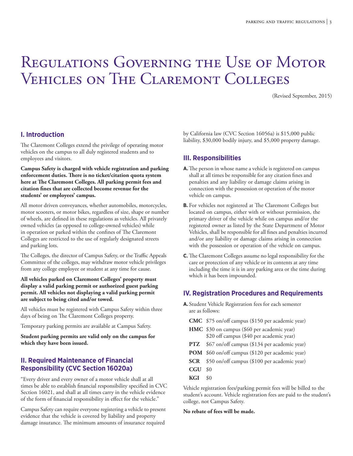# Regulations Governing the Use of Motor Vehicles on The Claremont Colleges

(Revised September, 2015)

# **I. Introduction**

The Claremont Colleges extend the privilege of operating motor vehicles on the campus to all duly registered students and to employees and visitors.

**Campus Safety is charged with vehicle registration and parking** enforcement duties. There is no ticket/citation quota system here at The Claremont Colleges. All parking permit fees and **citation fines that are collected become revenue for the students' or employees' campus.**

All motor driven conveyances, whether automobiles, motorcycles, motor scooters, or motor bikes, regardless of size, shape or number of wheels, are defined in these regulations as vehicles. All privately owned vehicles (as opposed to college-owned vehicles) while in operation or parked within the confines of The Claremont Colleges are restricted to the use of regularly designated streets and parking lots.

The Colleges, the director of Campus Safety, or the Traffic Appeals Committee of the colleges, may withdraw motor vehicle privileges from any college employee or student at any time for cause.

#### **All vehicles parked on Claremont Colleges' property must display a valid parking permit or authorized guest parking permit. All vehicles not displaying a valid parking permit are subject to being cited and/or towed.**

All vehicles must be registered with Campus Safety within three days of being on The Claremont Colleges property.

Temporary parking permits are available at Campus Safety.

**Student parking permits are valid only on the campus for which they have been issued.**

#### **II. Required Maintenance of Financial Responsibility (CVC Section 16020a)**

"Every driver and every owner of a motor vehicle shall at all times be able to establish financial responsibility specified in CVC Section 16021, and shall at all times carry in the vehicle evidence of the form of financial responsibility in effect for the vehicle."

Campus Safety can require everyone registering a vehicle to present evidence that the vehicle is covered by liability and property damage insurance. The minimum amounts of insurance required

by California law (CVC Section 16056a) is \$15,000 public liability, \$30,000 bodily injury, and \$5,000 property damage.

#### **III. Responsibilities**

- **A.** The person in whose name a vehicle is registered on campus shall at all times be responsible for any citation fines and penalties and any liability or damage claims arising in connection with the possession or operation of the motor vehicle on campus.
- **B.** For vehicles not registered at The Claremont Colleges but located on campus, either with or without permission, the primary driver of the vehicle while on campus and/or the registered owner as listed by the State Department of Motor Vehicles, shall be responsible for all fines and penalties incurred and/or any liability or damage claims arising in connection with the possession or operation of the vehicle on campus.
- **C.** The Claremont Colleges assume no legal responsibility for the care or protection of any vehicle or its contents at any time including the time it is in any parking area or the time during which it has been impounded.

#### **IV. Registration Procedures and Requirements**

- **A.** Student Vehicle Registration fees for each semester are as follows:
	- **CMC** \$75 on/off campus (\$150 per academic year)
	- **HMC** \$30 on campus (\$60 per academic year) \$20 off campus (\$40 per academic year)
	- **PTZ** \$67 on/off campus (\$134 per academic year)
	- **POM** \$60 on/off campus (\$120 per academic year)
	- **SCR** \$50 on/off campus (\$100 per academic year)
	- **CGU** \$0
	- **KGI** \$0

Vehicle registration fees/parking permit fees will be billed to the student's account. Vehicle registration fees are paid to the student's college, not Campus Safety.

#### **No rebate of fees will be made.**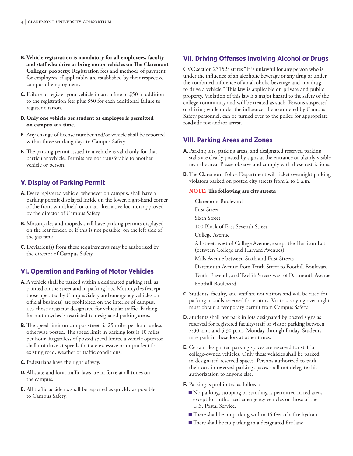- **B. Vehicle registration is mandatory for all employees, faculty** and staff who drive or bring motor vehicles on The Claremont **Colleges' property.** Registration fees and methods of payment for employees, if applicable, are established by their respective campus of employment.
- **C.** Failure to register your vehicle incurs a fine of \$50 in addition to the registration fee; plus \$50 for each additional failure to register citation.
- **D. Only one vehicle per student or employee is permitted on campus at a time.**
- **E.** Any change of license number and/or vehicle shall be reported within three working days to Campus Safety.
- **F.** The parking permit issued to a vehicle is valid only for that particular vehicle. Permits are not transferable to another vehicle or person.

# **V. Display of Parking Permit**

- **A.** Every registered vehicle, whenever on campus, shall have a parking permit displayed inside on the lower, right-hand corner of the front windshield or on an alternative location approved by the director of Campus Safety.
- **B.** Motorcycles and mopeds shall have parking permits displayed on the rear fender, or if this is not possible, on the left side of the gas tank.
- **C.** Deviation(s) from these requirements may be authorized by the director of Campus Safety.

# **VI. Operation and Parking of Motor Vehicles**

- **A.**A vehicle shall be parked within a designated parking stall as painted on the street and in parking lots. Motorcycles (except those operated by Campus Safety and emergency vehicles on official business) are prohibited on the interior of campus, i.e., those areas not designated for vehicular traffic. Parking for motorcycles is restricted to designated parking areas.
- **B.** The speed limit on campus streets is 25 miles per hour unless otherwise posted. The speed limit in parking lots is 10 miles per hour. Regardless of posted speed limits, a vehicle operator shall not drive at speeds that are excessive or imprudent for existing road, weather or traffic conditions.
- **C.** Pedestrians have the right of way.
- **D.** All state and local traffic laws are in force at all times on the campus.
- **E.** All traffic accidents shall be reported as quickly as possible to Campus Safety.

# **VII. Driving Offenses Involving Alcohol or Drugs**

CVC section 23152a states "It is unlawful for any person who is under the influence of an alcoholic beverage or any drug or under the combined influence of an alcoholic beverage and any drug to drive a vehicle." This law is applicable on private and public property. Violation of this law is a major hazard to the safety of the college community and will be treated as such. Persons suspected of driving while under the influence, if encountered by Campus Safety personnel, can be turned over to the police for appropriate roadside test and/or arrest.

#### **VIII. Parking Areas and Zones**

- **A.** Parking lots, parking areas, and designated reserved parking stalls are clearly posted by signs at the entrance or plainly visible near the area. Please observe and comply with these restrictions.
- **B.** The Claremont Police Department will ticket overnight parking violators parked on posted city streets from 2 to 6 a.m.

#### **NOTE:** The following are city streets:

Claremont Boulevard

First Street

Sixth Street

100 Block of East Seventh Street

College Avenue

All streets west of College Avenue, except the Harrison Lot (between College and Harvard Avenues)

Mills Avenue between Sixth and First Streets

Dartmouth Avenue from Tenth Street to Foothill Boulevard

Tenth, Eleventh, and Twelfth Streets west of Dartmouth Avenue Foothill Boulevard

- **C.** Students, faculty, and staff are not visitors and will be cited for parking in stalls reserved for visitors. Visitors staying over-night must obtain a temporary permit from Campus Safety.
- **D.** Students shall not park in lots designated by posted signs as reserved for registered faculty/staff or visitor parking between 7:30 a.m. and 5:30 p.m., Monday through Friday. Students may park in these lots at other times.
- **E.** Certain designated parking spaces are reserved for staff or college-owned vehicles. Only these vehicles shall be parked in designated reserved spaces. Persons authorized to park their cars in reserved parking spaces shall not delegate this authorization to anyone else.
- **F.** Parking is prohibited as follows:
	- No parking, stopping or standing is permitted in red areas except for authorized emergency vehicles or those of the U.S. Postal Service.
	- There shall be no parking within 15 feet of a fire hydrant.
	- There shall be no parking in a designated fire lane.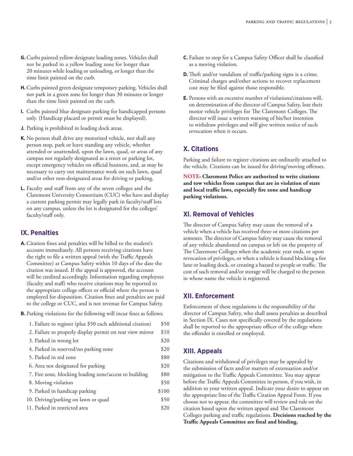- **H.**Curbs painted green designate temporary parking. Vehicles shall not park in a green zone for longer than 30 minutes or longer than the time limit painted on the curb.
- **I.** Curbs painted blue designate parking for handicapped persons only. (Handicap placard or permit must be displayed).
- **J.** Parking is prohibited in loading dock areas.
- **K.** No person shall drive any motorized vehicle, nor shall any person stop, park or leave standing any vehicle, whether attended or unattended, upon the lawn, quad, or areas of any campus not regularly designated as a street or parking lot, except emergency vehicles on official business, and, as may be necessary to carry out maintenance work on such lawn, quad and/or other non-designated areas for driving or parking.
- **L.** Faculty and staff from any of the seven colleges and the Claremont University Consortium (CUC) who have and display a current parking permit may legally park in faculty/staff lots on any campus, unless the lot is designated for the colleges' faculty/staff only.

# **IX. Penalties**

- **A.**Citation fines and penalties will be billed to the student's account immediately. All persons receiving citations have the right to file a written appeal (with the Traffic Appeals Committee) at Campus Safety within 10 days of the date the citation was issued. If the appeal is approved, the account will be credited accordingly. Information regarding employees (faculty and staff) who receive citations may be reported to the appropriate college officer or official where the person is employed for disposition. Citation fines and penalties are paid to the college or CUC, and is not revenue for Campus Safety.
- **B.** Parking violations for the following will incur fines as follows:

| 1. Failure to register (plus \$50 each additional citation) | \$50  |
|-------------------------------------------------------------|-------|
| 2. Failure to properly display permit on rear view mirror   | \$10  |
| 3. Parked in wrong lot                                      | \$20  |
| 4. Parked in reserved/no parking zone                       | \$20  |
| 5. Parked in red zone                                       | \$80  |
| 6. Area not designated for parking                          | \$20  |
| 7. Fire zone, blocking loading zone/access to building      | \$80  |
| 8. Moving violation                                         | \$50  |
| 9. Parked in handicap parking                               | \$100 |
| 10. Driving/parking on lawn or quad                         | \$50  |
| 11. Parked in restricted area                               | \$20  |
|                                                             |       |

- **C.** Failure to stop for a Campus Safety Officer shall be classified as a moving violation.
- **D.** Theft and/or vandalism of traffic/parking signs is a crime. Criminal charges and/other actions to recover replacement cost may be filed against those responsible.
- **E.** Persons with an excessive number of violations/citations will, on determination of the director of Campus Safety, lose their motor vehicle privileges for The Claremont Colleges. The director will issue a written warning of his/her intention to withdraw privileges and will give written notice of such revocation when it occurs.

# **X. Citations**

Parking and failure to register citations are ordinarily attached to the vehicle. Citations can be issued for driving/moving offenses.

**NOTe: Claremont Police are authorized to write citations and tow vehicles from campus that are in violation of state and local traffic laws, especially fire zone and handicap parking violations.**

# **Xl. Removal of Vehicles**

The director of Campus Safety may cause the removal of a vehicle when a vehicle has received three or more citations per semester. The director of Campus Safety may cause the removal of any vehicle abandoned on campus or left on the property of The Claremont Colleges when the academic year ends, or upon revocation of privileges, or when a vehicle is found blocking a fire lane or loading dock, or creating a hazard to people or traffic. The cost of such removal and/or storage will be charged to the person in whose name the vehicle is registered.

#### **XII. Enforcement**

Enforcement of these regulations is the responsibility of the director of Campus Safety, who shall assess penalties as described in Section IX. Cases not specifically covered by the regulations shall be reported to the appropriate officer of the college where the offender is enrolled or employed.

# **XIII. Appeals**

Citations and withdrawal of privileges may be appealed by the submission of facts and/or matters of extenuation and/or mitigation to the Traffic Appeals Committee. You may appear before the Traffic Appeals Committee in person, if you wish, in addition to your written appeal. Indicate your desire to appear on the appropriate line of the Traffic Citation Appeal Form. If you choose not to appear, the committee will review and rule on the citation based upon the written appeal and The Claremont Colleges parking and traffic regulations. **Decisions reached by the Traffic Appeals Committee are final and binding.**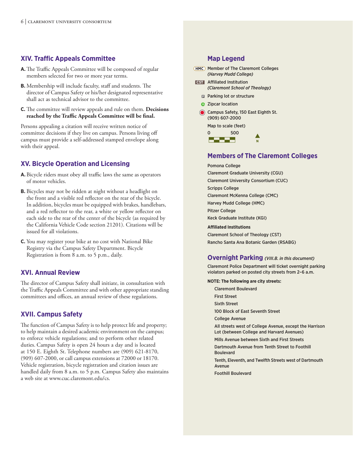# **XIV. Traffic Appeals Committee**

- A. The Traffic Appeals Committee will be composed of regular members selected for two or more year terms.
- **B.** Membership will include faculty, staff and students. The director of Campus Safety or his/her designated representative shall act as technical advisor to the committee.
- **C.** The committee will review appeals and rule on them. **Decisions reached by the Traffic Appeals Committee will be final.**

Persons appealing a citation will receive written notice of committee decisions if they live on campus. Persons living off campus must provide a self-addressed stamped envelope along with their appeal.

# **XV. Bicycle Operation and Licensing**

- **A.** Bicycle riders must obey all traffic laws the same as operators of motor vehicles.
- **B.** Bicycles may not be ridden at night without a headlight on the front and a visible red reflector on the rear of the bicycle. In addition, bicycles must be equipped with brakes, handlebars, and a red reflector to the rear, a white or yellow reflector on each side to the rear of the center of the bicycle (as required by the California Vehicle Code section 21201). Citations will be issued for all violations.
- **C.** You may register your bike at no cost with National Bike Registry via the Campus Safety Department. Bicycle Registration is from 8 a.m. to 5 p.m., daily.

#### **XVI. Annual Review**

The director of Campus Safety shall initiate, in consultation with the Traffic Appeals Committee and with other appropriate standing committees and offices, an annual review of these regulations.

#### **XVII. Campus Safety**

The function of Campus Safety is to help protect life and property; to help maintain a desired academic environment on the campus; to enforce vehicle regulations; and to perform other related duties. Campus Safety is open 24 hours a day and is located at 150 E. Eighth St. Telephone numbers are (909) 621-8170, (909) 607-2000, or call campus extensions at 72000 or 18170. Vehicle registration, bicycle registration and citation issues are handled daily from 8 a.m. to 5 p.m. Campus Safety also maintains a web site at www.cuc.claremont.edu/cs.

#### **Map Legend**

- **HMC** Member of The Claremont Colleges *(Harvey Mudd College)*
- Affiliated Institution **CST** *(Claremont School of Theology)*
	- **Parking lot or structure**
	- **2** Zipcar location
- Campus Safety, 150 East Eighth St. (909) 607-2000
	- Map to scale (feet)



#### **Members of The Claremont Colleges**

Pomona College Claremont Graduate University (CGU) Claremont University Consortium (CUC) Scripps College Claremont McKenna College (CMC) Harvey Mudd College (HMC) Pitzer College Keck Graduate Institute (KGI) **Affiliated Institutions**

Claremont School of Theology (CST) Rancho Santa Ana Botanic Garden (RSABG)

#### **Overnight Parking** *(VIII.B. in this document)*

Claremont Police Department will ticket overnight parking violators parked on posted city streets from 2–6 a.m.

#### **NOTE: The following are city streets:**

Claremont Boulevard First Street Sixth Street 100 Block of East Seventh Street College Avenue All streets west of College Avenue, except the Harrison Lot (between College and Harvard Avenues) Mills Avenue between Sixth and First Streets Dartmouth Avenue from Tenth Street to Foothill Boulevard Tenth, Eleventh, and Twelfth Streets west of Dartmouth Avenue Foothill Boulevard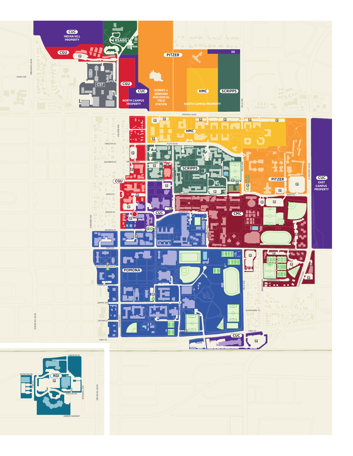